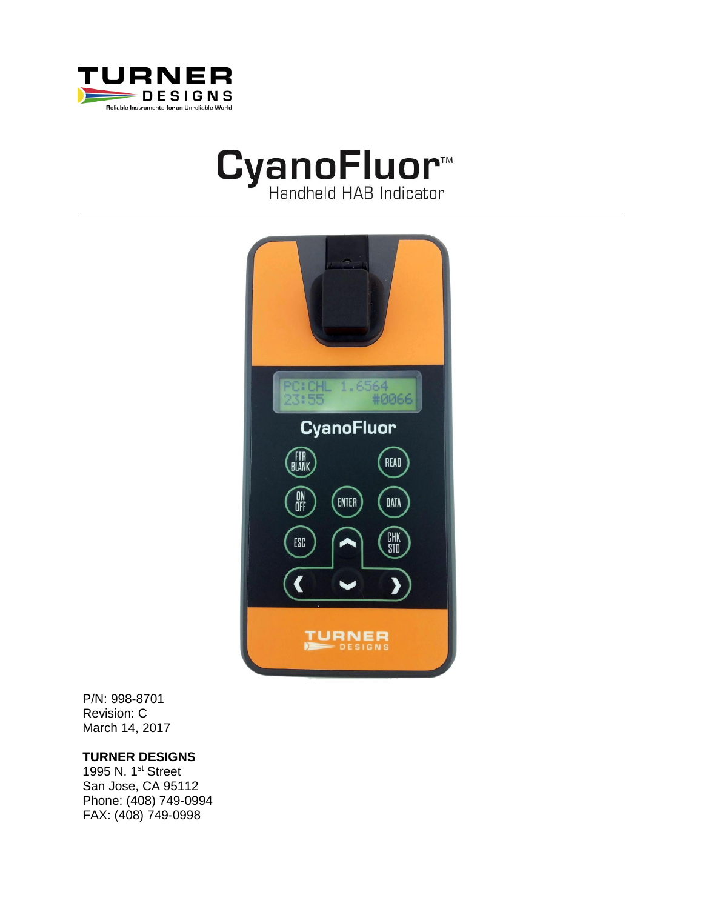

# CyanoFluor<sup>™</sup>



P/N: 998-8701 Revision: C March 14, 2017

# **TURNER DESIGNS**

1995 N. 1<sup>st</sup> Street San Jose, CA 95112 Phone: (408) 749-0994 FAX: (408) 749-0998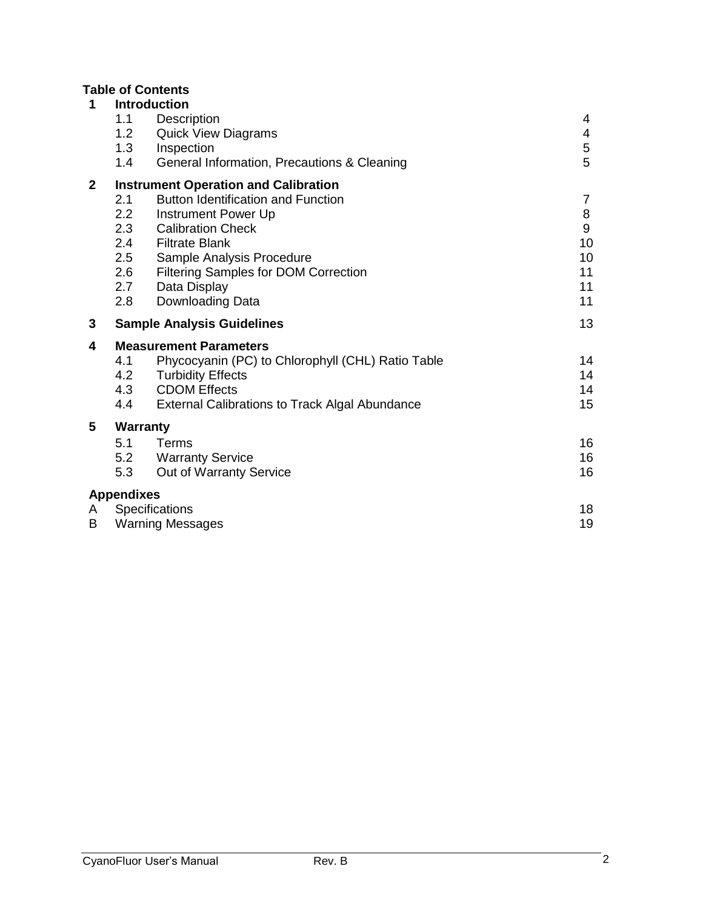# **Table of Contents**

| 1 | <b>Introduction</b>                         |                                                       |    |  |  |
|---|---------------------------------------------|-------------------------------------------------------|----|--|--|
|   | 1.1                                         | <b>Description</b>                                    | 4  |  |  |
|   | 1.2 <sub>2</sub>                            | <b>Quick View Diagrams</b>                            | 4  |  |  |
|   | 1.3                                         | Inspection                                            | 5  |  |  |
|   | 1.4                                         | General Information, Precautions & Cleaning           | 5  |  |  |
| 2 | <b>Instrument Operation and Calibration</b> |                                                       |    |  |  |
|   | 2.1                                         | <b>Button Identification and Function</b>             | 7  |  |  |
|   | 2.2                                         | Instrument Power Up                                   | 8  |  |  |
|   | 2.3                                         | <b>Calibration Check</b>                              | 9  |  |  |
|   | 2.4                                         | <b>Filtrate Blank</b>                                 | 10 |  |  |
|   | 2.5                                         | Sample Analysis Procedure                             | 10 |  |  |
|   | 2.6                                         | <b>Filtering Samples for DOM Correction</b>           | 11 |  |  |
|   | 2.7                                         | Data Display                                          | 11 |  |  |
|   | 2.8                                         | Downloading Data                                      | 11 |  |  |
| 3 |                                             | <b>Sample Analysis Guidelines</b>                     | 13 |  |  |
| 4 |                                             | <b>Measurement Parameters</b>                         |    |  |  |
|   | 4.1                                         | Phycocyanin (PC) to Chlorophyll (CHL) Ratio Table     | 14 |  |  |
|   | 4.2                                         | <b>Turbidity Effects</b>                              | 14 |  |  |
|   | 4.3                                         | <b>CDOM Effects</b>                                   | 14 |  |  |
|   | 4.4                                         | <b>External Calibrations to Track Algal Abundance</b> | 15 |  |  |
| 5 | <b>Warranty</b>                             |                                                       |    |  |  |
|   | 5.1                                         | Terms                                                 | 16 |  |  |
|   | 5.2                                         | <b>Warranty Service</b>                               | 16 |  |  |
|   | 5.3                                         | Out of Warranty Service                               | 16 |  |  |
|   | <b>Appendixes</b>                           |                                                       |    |  |  |
| A | Specifications                              |                                                       |    |  |  |
| B | <b>Warning Messages</b>                     |                                                       | 19 |  |  |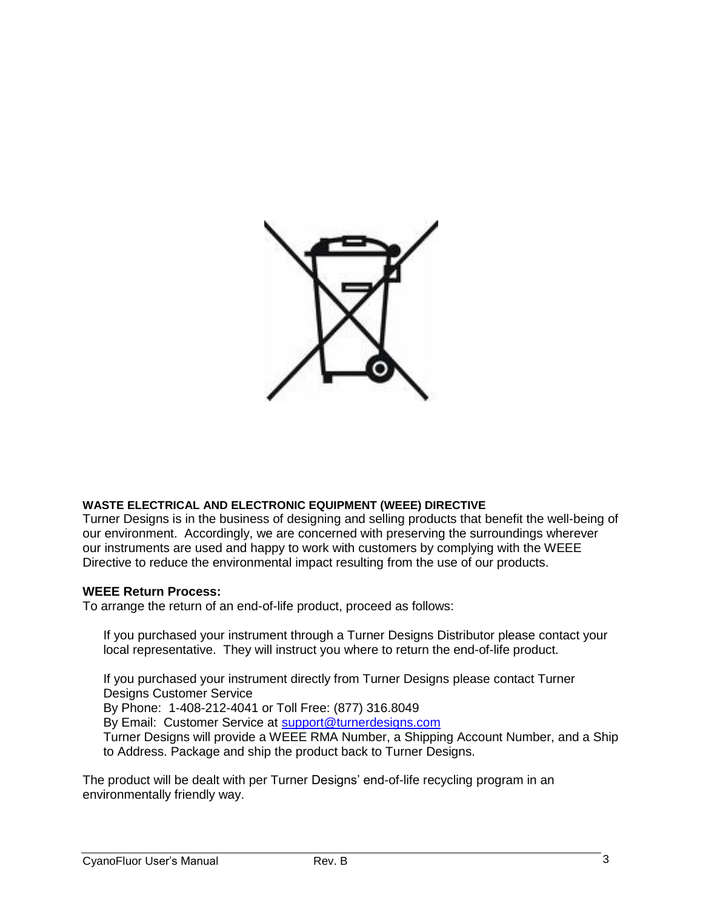

# **WASTE ELECTRICAL AND ELECTRONIC EQUIPMENT (WEEE) DIRECTIVE**

Turner Designs is in the business of designing and selling products that benefit the well-being of our environment. Accordingly, we are concerned with preserving the surroundings wherever our instruments are used and happy to work with customers by complying with the WEEE Directive to reduce the environmental impact resulting from the use of our products.

# **WEEE Return Process:**

To arrange the return of an end-of-life product, proceed as follows:

If you purchased your instrument through a Turner Designs Distributor please contact your local representative. They will instruct you where to return the end-of-life product.

If you purchased your instrument directly from Turner Designs please contact Turner Designs Customer Service

By Phone: 1-408-212-4041 or Toll Free: (877) 316.8049

By Email: Customer Service at [support@turnerdesigns.com](mailto:support@turnerdesigns.com)

Turner Designs will provide a WEEE RMA Number, a Shipping Account Number, and a Ship to Address. Package and ship the product back to Turner Designs.

The product will be dealt with per Turner Designs' end-of-life recycling program in an environmentally friendly way.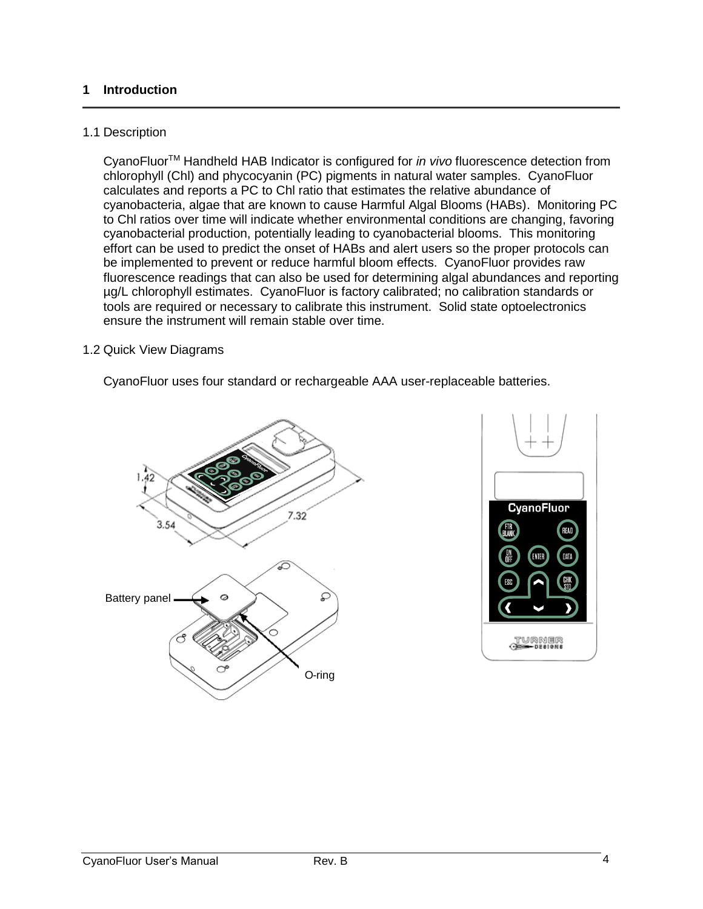# **1 Introduction**

#### 1.1 Description

CyanoFluorTM Handheld HAB Indicator is configured for *in vivo* fluorescence detection from chlorophyll (Chl) and phycocyanin (PC) pigments in natural water samples. CyanoFluor calculates and reports a PC to Chl ratio that estimates the relative abundance of cyanobacteria, algae that are known to cause Harmful Algal Blooms (HABs). Monitoring PC to Chl ratios over time will indicate whether environmental conditions are changing, favoring cyanobacterial production, potentially leading to cyanobacterial blooms. This monitoring effort can be used to predict the onset of HABs and alert users so the proper protocols can be implemented to prevent or reduce harmful bloom effects. CyanoFluor provides raw fluorescence readings that can also be used for determining algal abundances and reporting µg/L chlorophyll estimates. CyanoFluor is factory calibrated; no calibration standards or tools are required or necessary to calibrate this instrument. Solid state optoelectronics ensure the instrument will remain stable over time.

#### 1.2 Quick View Diagrams

CyanoFluor uses four standard or rechargeable AAA user-replaceable batteries.



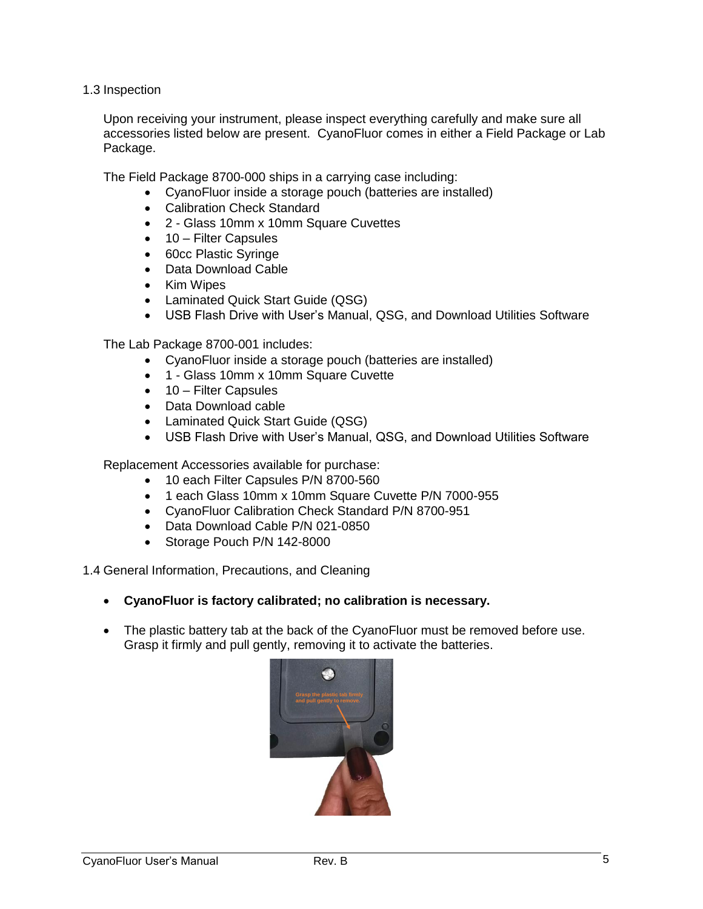1.3 Inspection

Upon receiving your instrument, please inspect everything carefully and make sure all accessories listed below are present. CyanoFluor comes in either a Field Package or Lab Package.

The Field Package 8700-000 ships in a carrying case including:

- CyanoFluor inside a storage pouch (batteries are installed)
- Calibration Check Standard
- 2 Glass 10mm x 10mm Square Cuvettes
- 10 Filter Capsules
- 60cc Plastic Syringe
- Data Download Cable
- Kim Wipes
- Laminated Quick Start Guide (QSG)
- USB Flash Drive with User's Manual, QSG, and Download Utilities Software

The Lab Package 8700-001 includes:

- CyanoFluor inside a storage pouch (batteries are installed)
- 1 Glass 10mm x 10mm Square Cuvette
- 10 Filter Capsules
- Data Download cable
- Laminated Quick Start Guide (QSG)
- USB Flash Drive with User's Manual, QSG, and Download Utilities Software

Replacement Accessories available for purchase:

- 10 each Filter Capsules P/N 8700-560
- 1 each Glass 10mm x 10mm Square Cuvette P/N 7000-955
- CyanoFluor Calibration Check Standard P/N 8700-951
- Data Download Cable P/N 021-0850
- Storage Pouch P/N 142-8000

1.4 General Information, Precautions, and Cleaning

- **CyanoFluor is factory calibrated; no calibration is necessary.**
- The plastic battery tab at the back of the CyanoFluor must be removed before use. Grasp it firmly and pull gently, removing it to activate the batteries.

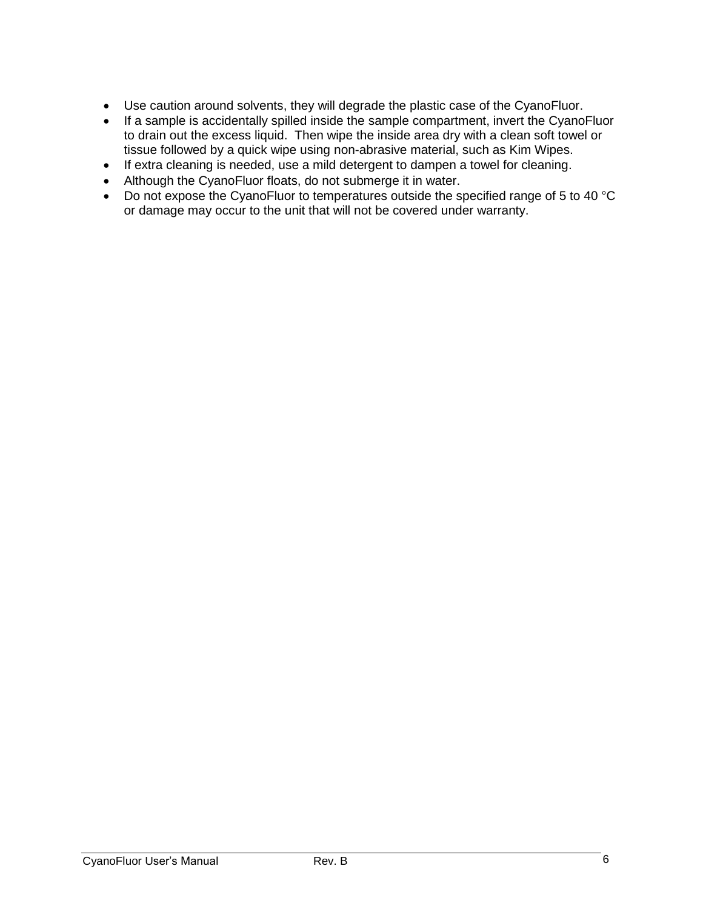- Use caution around solvents, they will degrade the plastic case of the CyanoFluor.
- If a sample is accidentally spilled inside the sample compartment, invert the CyanoFluor to drain out the excess liquid. Then wipe the inside area dry with a clean soft towel or tissue followed by a quick wipe using non-abrasive material, such as Kim Wipes.
- If extra cleaning is needed, use a mild detergent to dampen a towel for cleaning.
- Although the CyanoFluor [floats,](http://www.youtube.com/watch?feature=player_detailpage&v=9MzKnrIM5Ow&list=PLoipDZqUbZQt6o2Yn8aqoIIoBsQZ6G3DW) do not submerge it in water.
- Do not expose the CyanoFluor to temperatures outside the specified range of 5 to 40 °C or damage may occur to the unit that will not be covered under warranty.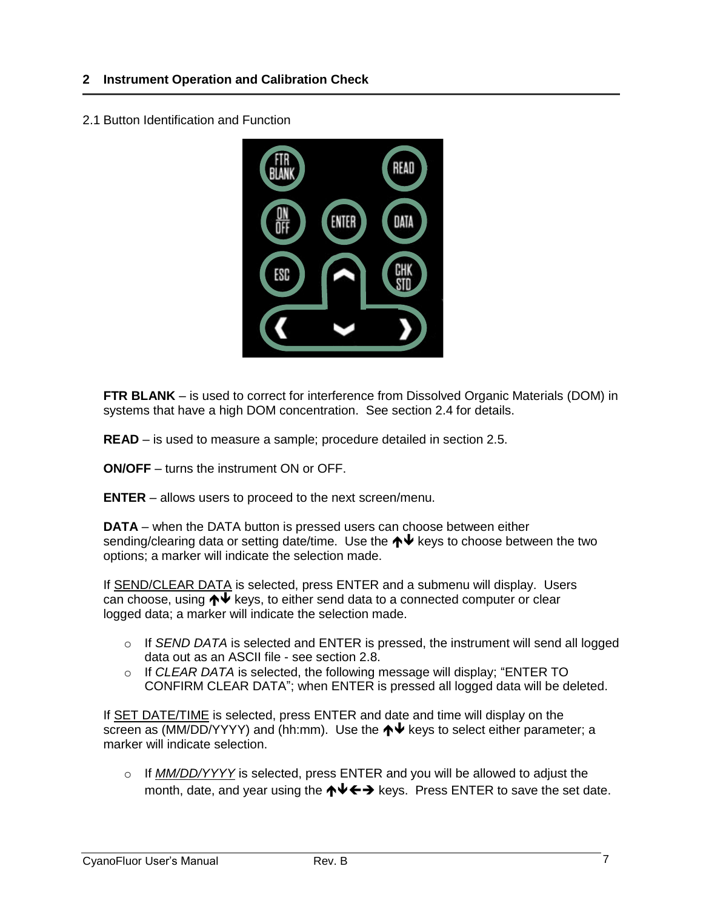2.1 Button Identification and Function



**FTR BLANK** – is used to correct for interference from Dissolved Organic Materials (DOM) in systems that have a high DOM concentration. See section 2.4 for details.

**READ** – is used to measure a sample; procedure detailed in section 2.5.

**ON/OFF** – turns the instrument ON or OFF.

**ENTER** – allows users to proceed to the next screen/menu.

**DATA** – when the DATA button is pressed users can choose between either sending/clearing data or setting date/time. Use the  $\bigwedge^{\mathbf{\psi}}$  keys to choose between the two options; a marker will indicate the selection made.

If SEND/CLEAR DATA is selected, press ENTER and a submenu will display. Users can choose, using  $\bigwedge^{\mathbf{\psi}}$  keys, to either send data to a connected computer or clear logged data; a marker will indicate the selection made.

- $\circ$  If *SEND DATA* is selected and ENTER is pressed, the instrument will send all logged data out as an ASCII file - see section 2.8.
- $\circ$  If *CLEAR DATA* is selected, the following message will display; "ENTER TO CONFIRM CLEAR DATA"; when ENTER is pressed all logged data will be deleted.

If SET DATE/TIME is selected, press ENTER and date and time will display on the screen as (MM/DD/YYYY) and (hh:mm). Use the  $\bigwedge^{\mathbf{\psi}}$  keys to select either parameter; a marker will indicate selection.

o If *MM/DD/YYYY* is selected, press ENTER and you will be allowed to adjust the month, date, and year using the  $\uparrow \downarrow \leftarrow \rightarrow$  keys. Press ENTER to save the set date.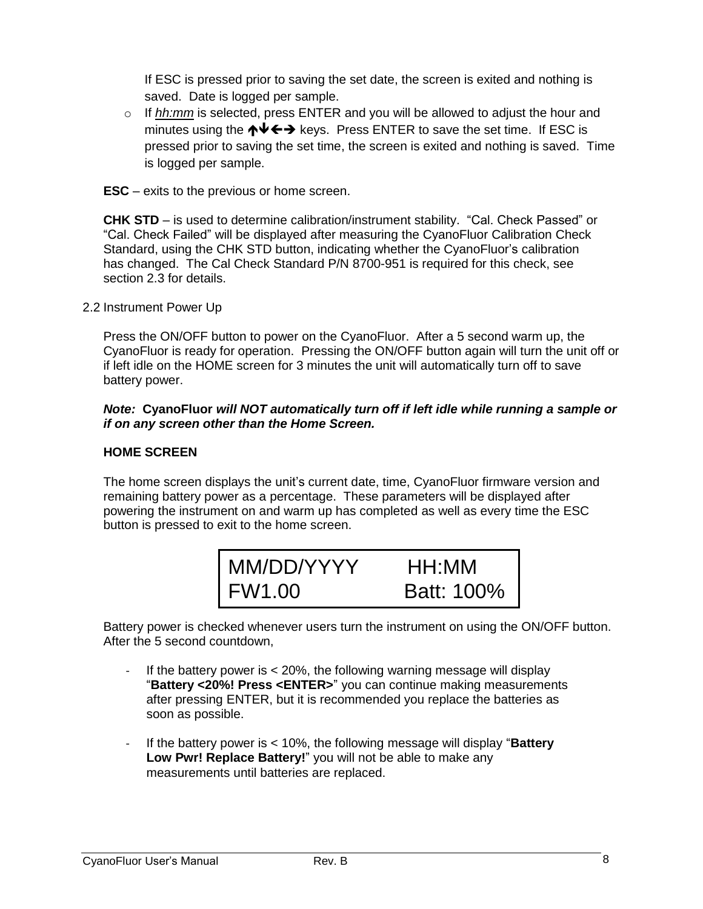If ESC is pressed prior to saving the set date, the screen is exited and nothing is saved. Date is logged per sample.

- o If *hh:mm* is selected, press ENTER and you will be allowed to adjust the hour and minutes using the  $\uparrow \downarrow \leftarrow \rightarrow$  keys. Press ENTER to save the set time. If ESC is pressed prior to saving the set time, the screen is exited and nothing is saved. Time is logged per sample.
- **ESC** exits to the previous or home screen.

**CHK STD** – is used to determine calibration/instrument stability. "Cal. Check Passed" or "Cal. Check Failed" will be displayed after measuring the CyanoFluor Calibration Check Standard, using the CHK STD button, indicating whether the CyanoFluor's calibration has changed. The Cal Check Standard P/N 8700-951 is required for this check, see section 2.3 for details.

#### 2.2 Instrument Power Up

Press the ON/OFF button to power on the CyanoFluor. After a 5 second warm up, the CyanoFluor is ready for operation. Pressing the ON/OFF button again will turn the unit off or if left idle on the HOME screen for 3 minutes the unit will automatically turn off to save battery power.

#### *Note:* **CyanoFluor** *will NOT automatically turn off if left idle while running a sample or if on any screen other than the Home Screen.*

#### **HOME SCREEN**

The home screen displays the unit's current date, time, CyanoFluor firmware version and remaining battery power as a percentage. These parameters will be displayed after powering the instrument on and warm up has completed as well as every time the ESC button is pressed to exit to the home screen.



Battery power is checked whenever users turn the instrument on using the ON/OFF button. After the 5 second countdown,

- If the battery power is  $< 20\%$ , the following warning message will display "**Battery <20%! Press <ENTER>**" you can continue making measurements after pressing ENTER, but it is recommended you replace the batteries as soon as possible.
- If the battery power is < 10%, the following message will display "**Battery Low Pwr! Replace Battery!**" you will not be able to make any measurements until batteries are replaced.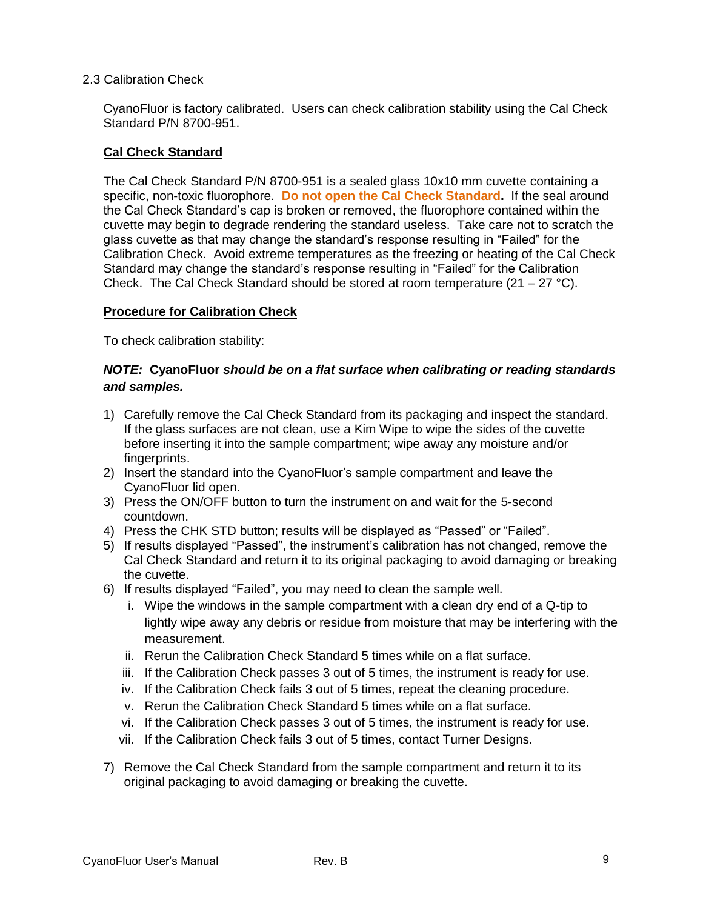# 2.3 Calibration Check

CyanoFluor is factory calibrated. Users can check calibration stability using the Cal Check Standard P/N 8700-951.

#### **Cal Check Standard**

The Cal Check Standard P/N 8700-951 is a sealed glass 10x10 mm cuvette containing a specific, non-toxic fluorophore. **Do not open the Cal Check Standard.** If the seal around the Cal Check Standard's cap is broken or removed, the fluorophore contained within the cuvette may begin to degrade rendering the standard useless. Take care not to scratch the glass cuvette as that may change the standard's response resulting in "Failed" for the Calibration Check. Avoid extreme temperatures as the freezing or heating of the Cal Check Standard may change the standard's response resulting in "Failed" for the Calibration Check. The Cal Check Standard should be stored at room temperature  $(21 – 27 °C)$ .

# **Procedure for Calibration Check**

To check calibration stability:

# *NOTE:* **CyanoFluor** *should be on a flat surface when calibrating or reading standards and samples.*

- 1) Carefully remove the Cal Check Standard from its packaging and inspect the standard. If the glass surfaces are not clean, use a Kim Wipe to wipe the sides of the cuvette before inserting it into the sample compartment; wipe away any moisture and/or fingerprints.
- 2) Insert the standard into the CyanoFluor's sample compartment and leave the CyanoFluor lid open.
- 3) Press the ON/OFF button to turn the instrument on and wait for the 5-second countdown.
- 4) Press the CHK STD button; results will be displayed as "Passed" or "Failed".
- 5) If results displayed "Passed", the instrument's calibration has not changed, remove the Cal Check Standard and return it to its original packaging to avoid damaging or breaking the cuvette.
- 6) If results displayed "Failed", you may need to clean the sample well.
	- i. Wipe the windows in the sample compartment with a clean dry end of a Q-tip to lightly wipe away any debris or residue from moisture that may be interfering with the measurement.
	- ii. Rerun the Calibration Check Standard 5 times while on a flat surface.
	- iii. If the Calibration Check passes 3 out of 5 times, the instrument is ready for use.
	- iv. If the Calibration Check fails 3 out of 5 times, repeat the cleaning procedure.
	- v. Rerun the Calibration Check Standard 5 times while on a flat surface.
	- vi. If the Calibration Check passes 3 out of 5 times, the instrument is ready for use.
	- vii. If the Calibration Check fails 3 out of 5 times, contact Turner Designs.
- 7) Remove the Cal Check Standard from the sample compartment and return it to its original packaging to avoid damaging or breaking the cuvette.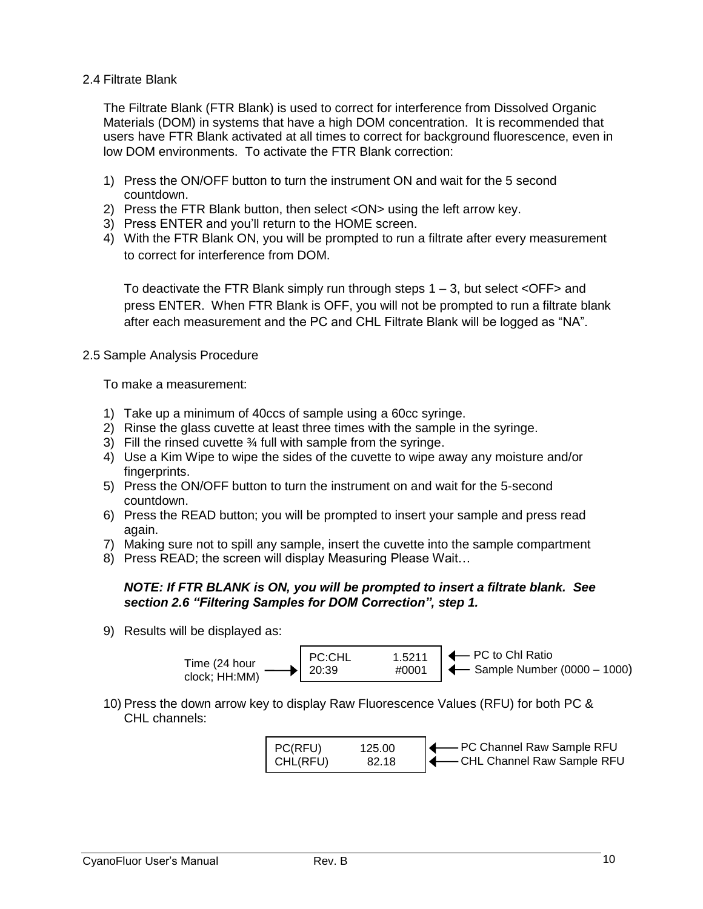# 2.4 Filtrate Blank

The Filtrate Blank (FTR Blank) is used to correct for interference from Dissolved Organic Materials (DOM) in systems that have a high DOM concentration. It is recommended that users have FTR Blank activated at all times to correct for background fluorescence, even in low DOM environments. To activate the FTR Blank correction:

- 1) Press the ON/OFF button to turn the instrument ON and wait for the 5 second countdown.
- 2) Press the FTR Blank button, then select <ON> using the left arrow key.
- 3) Press ENTER and you'll return to the HOME screen.
- 4) With the FTR Blank ON, you will be prompted to run a filtrate after every measurement to correct for interference from DOM.

To deactivate the FTR Blank simply run through steps  $1 - 3$ , but select  $\leq$ OFF $>$  and press ENTER. When FTR Blank is OFF, you will not be prompted to run a filtrate blank after each measurement and the PC and CHL Filtrate Blank will be logged as "NA".

2.5 Sample Analysis Procedure

To make a measurement:

- 1) Take up a minimum of 40ccs of sample using a 60cc syringe.
- 2) Rinse the glass cuvette at least three times with the sample in the syringe.
- 3) Fill the rinsed cuvette ¾ full with sample from the syringe.
- 4) Use a Kim Wipe to wipe the sides of the cuvette to wipe away any moisture and/or fingerprints.
- 5) Press the ON/OFF button to turn the instrument on and wait for the 5-second countdown.
- 6) Press the READ button; you will be prompted to insert your sample and press read again.
- 7) Making sure not to spill any sample, insert the cuvette into the sample compartment
- 8) Press READ; the screen will display Measuring Please Wait...

#### *NOTE: If FTR BLANK is ON, you will be prompted to insert a filtrate blank. See section 2.6 "Filtering Samples for DOM Correction", step 1.*

9) Results will be displayed as:



10) Press the down arrow key to display Raw Fluorescence Values (RFU) for both PC & CHL channels:

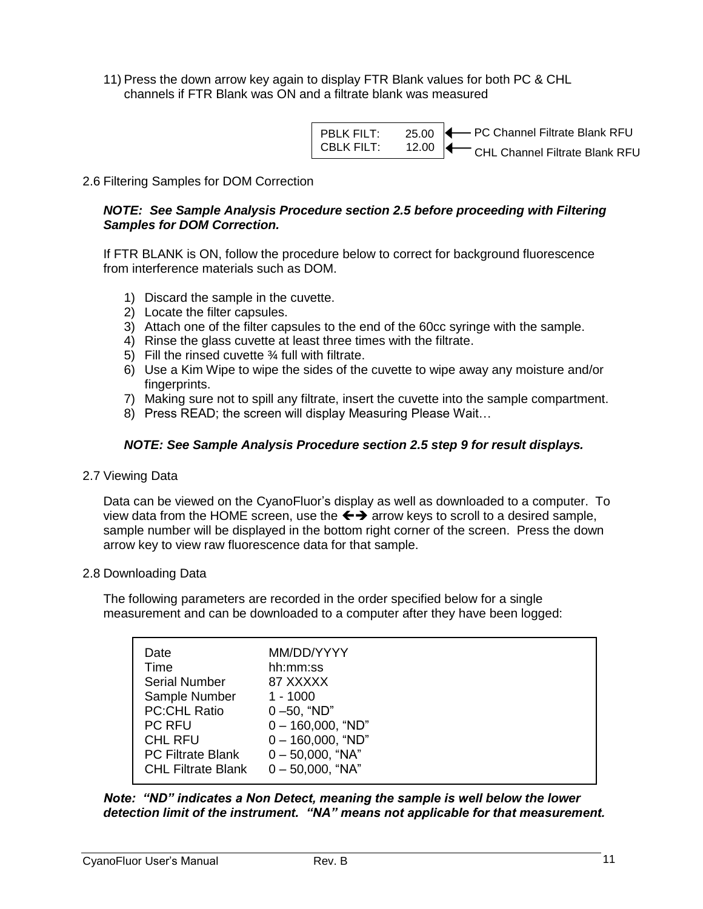11) Press the down arrow key again to display FTR Blank values for both PC & CHL channels if FTR Blank was ON and a filtrate blank was measured



2.6 Filtering Samples for DOM Correction

#### *NOTE: See Sample Analysis Procedure section 2.5 before proceeding with Filtering Samples for DOM Correction.*

If FTR BLANK is ON, follow the procedure below to correct for background fluorescence from interference materials such as DOM.

- 1) Discard the sample in the cuvette.
- 2) Locate the filter capsules.
- 3) Attach one of the filter capsules to the end of the 60cc syringe with the sample.
- 4) Rinse the glass cuvette at least three times with the filtrate.
- 5) Fill the rinsed cuvette  $\frac{3}{4}$  full with filtrate.
- 6) Use a Kim Wipe to wipe the sides of the cuvette to wipe away any moisture and/or fingerprints.
- 7) Making sure not to spill any filtrate, insert the cuvette into the sample compartment.
- 8) Press READ; the screen will display Measuring Please Wait...

#### *NOTE: See Sample Analysis Procedure section 2.5 step 9 for result displays.*

#### 2.7 Viewing Data

Data can be viewed on the CyanoFluor's display as well as downloaded to a computer. To view data from the HOME screen, use the  $\leftrightarrow$  arrow keys to scroll to a desired sample, sample number will be displayed in the bottom right corner of the screen. Press the down arrow key to view raw fluorescence data for that sample.

#### 2.8 Downloading Data

The following parameters are recorded in the order specified below for a single measurement and can be downloaded to a computer after they have been logged:

| Date                      | MM/DD/YYYY          |
|---------------------------|---------------------|
| Time                      | hh:mm:ss            |
| <b>Serial Number</b>      | 87 XXXXX            |
| Sample Number             | $1 - 1000$          |
| <b>PC:CHL Ratio</b>       | $0 - 50$ , "ND"     |
| <b>PC RFU</b>             | $0 - 160,000,$ "ND" |
| <b>CHL RFU</b>            | $0 - 160,000,$ "ND" |
| <b>PC Filtrate Blank</b>  | $0 - 50,000,$ "NA"  |
| <b>CHL Filtrate Blank</b> | $0 - 50,000$ , "NA" |
|                           |                     |

*Note: "ND" indicates a Non Detect, meaning the sample is well below the lower detection limit of the instrument. "NA" means not applicable for that measurement.*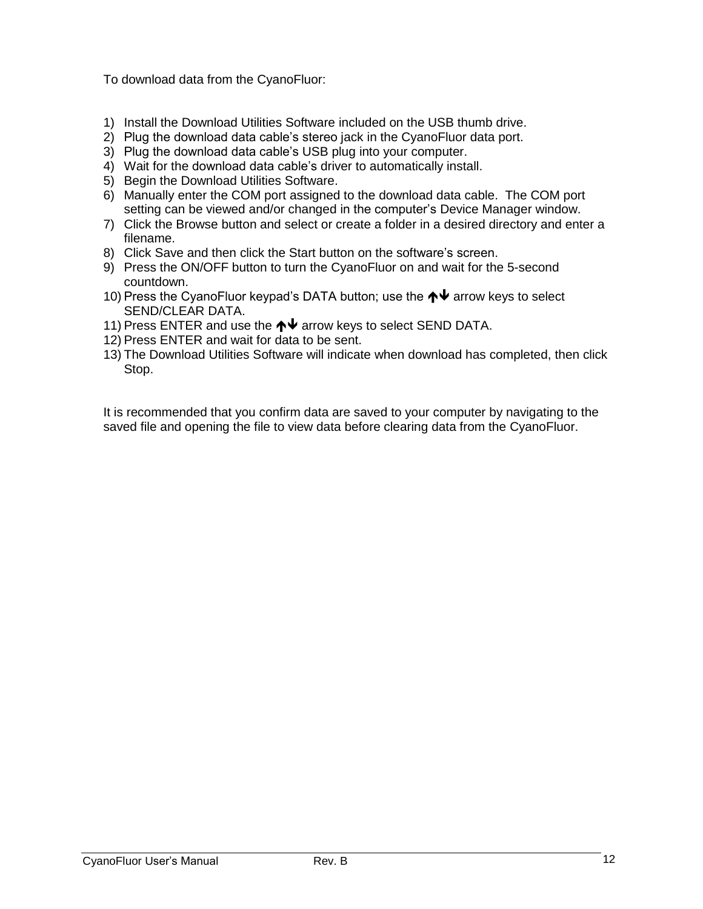To download data from the CyanoFluor:

- 1) Install the Download Utilities Software included on the USB thumb drive.
- 2) Plug the download data cable's stereo jack in the CyanoFluor data port.
- 3) Plug the download data cable's USB plug into your computer.
- 4) Wait for the download data cable's driver to automatically install.
- 5) Begin the Download Utilities Software.
- 6) Manually enter the COM port assigned to the download data cable. The COM port setting can be viewed and/or changed in the computer's Device Manager window.
- 7) Click the Browse button and select or create a folder in a desired directory and enter a filename.
- 8) Click Save and then click the Start button on the software's screen.
- 9) Press the ON/OFF button to turn the CyanoFluor on and wait for the 5-second countdown.
- 10) Press the CyanoFluor keypad's DATA button; use the  $\bigwedge^{\mathbf{\downarrow}}$  arrow keys to select SEND/CLEAR DATA.
- 11) Press ENTER and use the  $\bigwedge^{\mathbf{\downarrow}}$  arrow keys to select SEND DATA.
- 12) Press ENTER and wait for data to be sent.
- 13) The Download Utilities Software will indicate when download has completed, then click Stop.

It is recommended that you confirm data are saved to your computer by navigating to the saved file and opening the file to view data before clearing data from the CyanoFluor.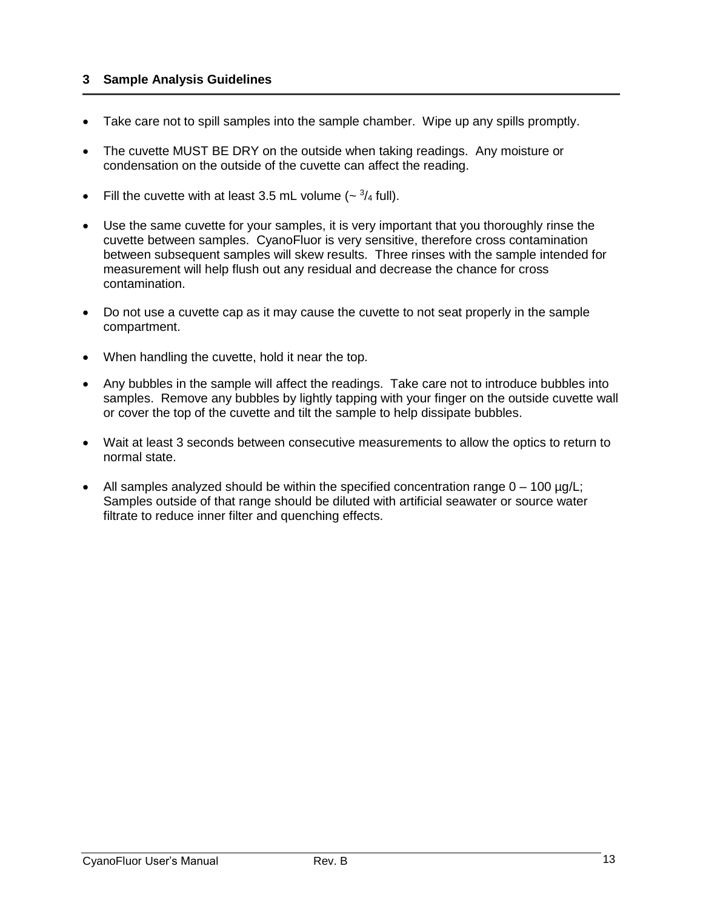# **3 Sample Analysis Guidelines**

- Take care not to spill samples into the sample chamber. Wipe up any spills promptly.
- The cuvette MUST BE DRY on the outside when taking readings. Any moisture or condensation on the outside of the cuvette can affect the reading.
- Fill the cuvette with at least 3.5 mL volume  $(-3/4$  full).
- Use the same cuvette for your samples, it is very important that you thoroughly rinse the cuvette between samples. CyanoFluor is very sensitive, therefore cross contamination between subsequent samples will skew results. Three rinses with the sample intended for measurement will help flush out any residual and decrease the chance for cross contamination.
- Do not use a cuvette cap as it may cause the cuvette to not seat properly in the sample compartment.
- When handling the cuvette, hold it near the top.
- Any bubbles in the sample will affect the readings. Take care not to introduce bubbles into samples. Remove any bubbles by lightly tapping with your finger on the outside cuvette wall or cover the top of the cuvette and tilt the sample to help dissipate bubbles.
- Wait at least 3 seconds between consecutive measurements to allow the optics to return to normal state.
- $\bullet$  All samples analyzed should be within the specified concentration range  $0 100$  ug/L; Samples outside of that range should be diluted with artificial seawater or source water filtrate to reduce inner filter and quenching effects.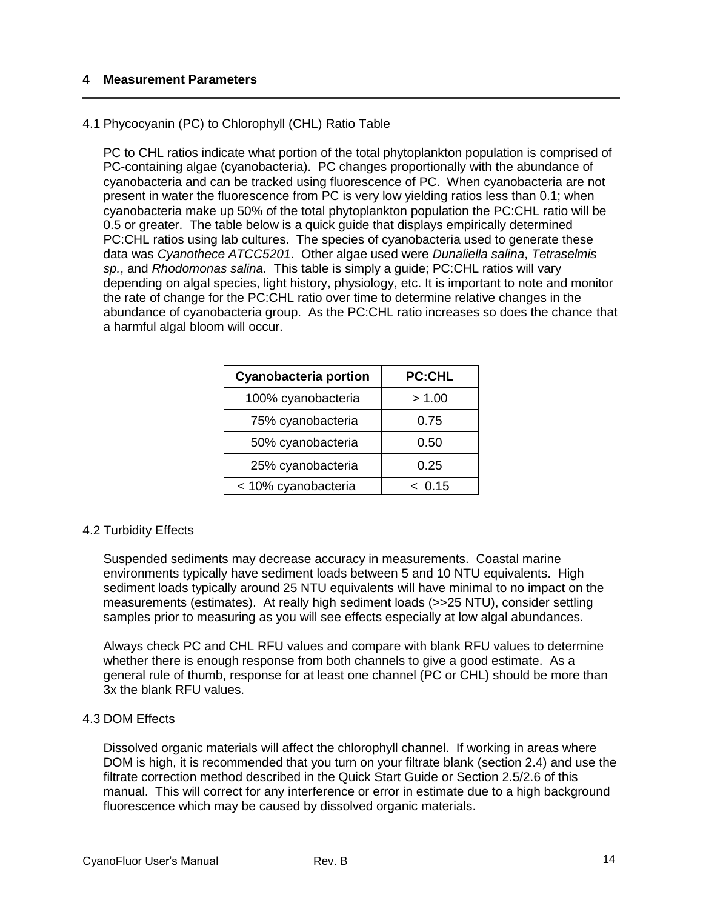# 4.1 Phycocyanin (PC) to Chlorophyll (CHL) Ratio Table

PC to CHL ratios indicate what portion of the total phytoplankton population is comprised of PC-containing algae (cyanobacteria). PC changes proportionally with the abundance of cyanobacteria and can be tracked using fluorescence of PC. When cyanobacteria are not present in water the fluorescence from PC is very low yielding ratios less than 0.1; when cyanobacteria make up 50% of the total phytoplankton population the PC:CHL ratio will be 0.5 or greater. The table below is a quick guide that displays empirically determined PC:CHL ratios using lab cultures. The species of cyanobacteria used to generate these data was *Cyanothece ATCC5201*. Other algae used were *Dunaliella salina*, *Tetraselmis sp.*, and *Rhodomonas salina.* This table is simply a guide; PC:CHL ratios will vary depending on algal species, light history, physiology, etc. It is important to note and monitor the rate of change for the PC:CHL ratio over time to determine relative changes in the abundance of cyanobacteria group. As the PC:CHL ratio increases so does the chance that a harmful algal bloom will occur.

| <b>Cyanobacteria portion</b> | <b>PC:CHL</b> |
|------------------------------|---------------|
| 100% cyanobacteria           | > 1.00        |
| 75% cyanobacteria            | 0.75          |
| 50% cyanobacteria            | 0.50          |
| 25% cyanobacteria            | 0.25          |
| < 10% cyanobacteria          | ~<~0.15       |

# 4.2 Turbidity Effects

Suspended sediments may decrease accuracy in measurements. Coastal marine environments typically have sediment loads between 5 and 10 NTU equivalents. High sediment loads typically around 25 NTU equivalents will have minimal to no impact on the measurements (estimates). At really high sediment loads (>>25 NTU), consider settling samples prior to measuring as you will see effects especially at low algal abundances.

Always check PC and CHL RFU values and compare with blank RFU values to determine whether there is enough response from both channels to give a good estimate. As a general rule of thumb, response for at least one channel (PC or CHL) should be more than 3x the blank RFU values.

#### 4.3 DOM Effects

Dissolved organic materials will affect the chlorophyll channel. If working in areas where DOM is high, it is recommended that you turn on your filtrate blank (section 2.4) and use the filtrate correction method described in the Quick Start Guide or Section 2.5/2.6 of this manual. This will correct for any interference or error in estimate due to a high background fluorescence which may be caused by dissolved organic materials.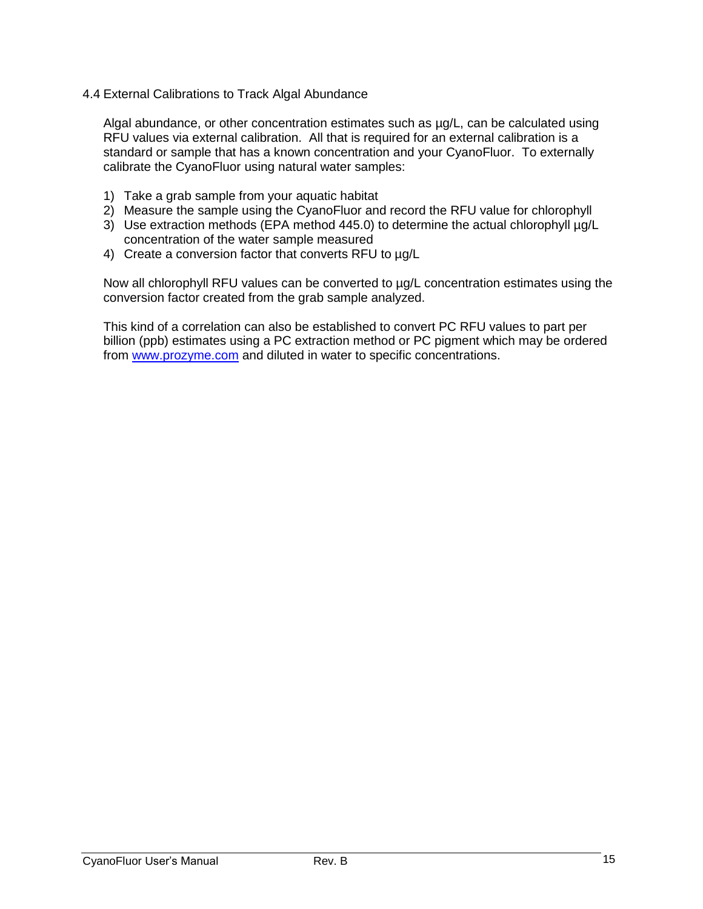# 4.4 External Calibrations to Track Algal Abundance

Algal abundance, or other concentration estimates such as µg/L, can be calculated using RFU values via external calibration. All that is required for an external calibration is a standard or sample that has a known concentration and your CyanoFluor. To externally calibrate the CyanoFluor using natural water samples:

- 1) Take a grab sample from your aquatic habitat
- 2) Measure the sample using the CyanoFluor and record the RFU value for chlorophyll
- 3) Use extraction methods (EPA method 445.0) to determine the actual chlorophyll  $\mu$ g/L concentration of the water sample measured
- 4) Create a conversion factor that converts RFU to ug/L

Now all chlorophyll RFU values can be converted to  $\mu$ g/L concentration estimates using the conversion factor created from the grab sample analyzed.

This kind of a correlation can also be established to convert PC RFU values to part per billion (ppb) estimates using a PC extraction method or PC pigment which may be ordered from [www.prozyme.com](http://www.prozyme.com/) and diluted in water to specific concentrations.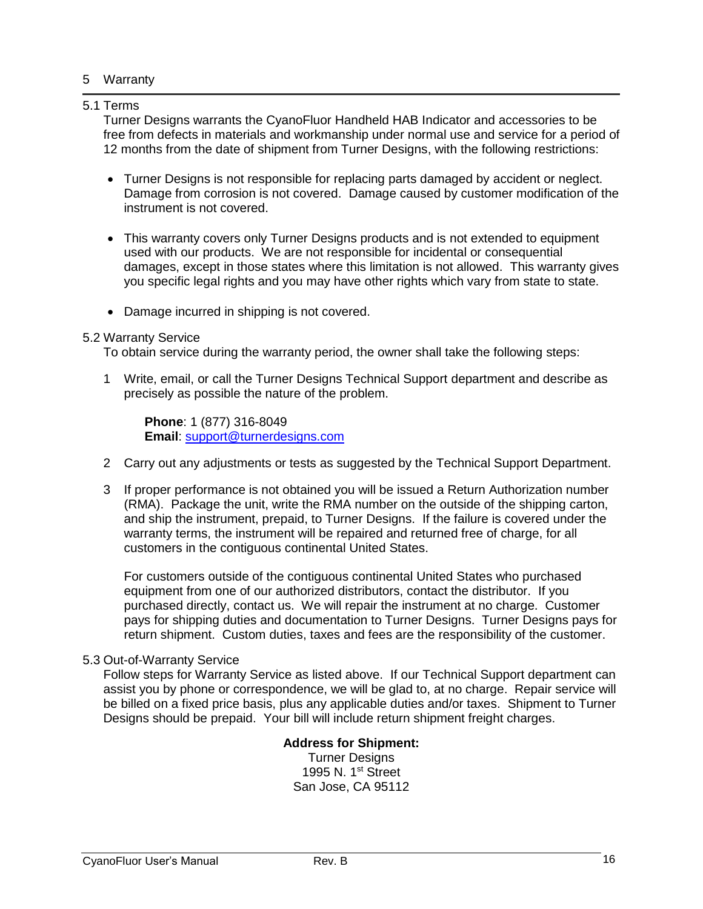#### 5 Warranty

#### 5.1 Terms

Turner Designs warrants the CyanoFluor Handheld HAB Indicator and accessories to be free from defects in materials and workmanship under normal use and service for a period of 12 months from the date of shipment from Turner Designs, with the following restrictions:

- Turner Designs is not responsible for replacing parts damaged by accident or neglect. Damage from corrosion is not covered. Damage caused by customer modification of the instrument is not covered.
- This warranty covers only Turner Designs products and is not extended to equipment used with our products. We are not responsible for incidental or consequential damages, except in those states where this limitation is not allowed. This warranty gives you specific legal rights and you may have other rights which vary from state to state.
- Damage incurred in shipping is not covered.

#### 5.2 Warranty Service

To obtain service during the warranty period, the owner shall take the following steps:

1 Write, email, or call the Turner Designs Technical Support department and describe as precisely as possible the nature of the problem.

**Phone**: 1 (877) 316-8049 **Email**: [support@turnerdesigns.com](mailto:support@turnerdesigns.com)

- 2 Carry out any adjustments or tests as suggested by the Technical Support Department.
- 3 If proper performance is not obtained you will be issued a Return Authorization number (RMA). Package the unit, write the RMA number on the outside of the shipping carton, and ship the instrument, prepaid, to Turner Designs. If the failure is covered under the warranty terms, the instrument will be repaired and returned free of charge, for all customers in the contiguous continental United States.

For customers outside of the contiguous continental United States who purchased equipment from one of our authorized distributors, contact the distributor. If you purchased directly, contact us. We will repair the instrument at no charge. Customer pays for shipping duties and documentation to Turner Designs. Turner Designs pays for return shipment. Custom duties, taxes and fees are the responsibility of the customer.

#### 5.3 Out-of-Warranty Service

Follow steps for Warranty Service as listed above. If our Technical Support department can assist you by phone or correspondence, we will be glad to, at no charge. Repair service will be billed on a fixed price basis, plus any applicable duties and/or taxes. Shipment to Turner Designs should be prepaid. Your bill will include return shipment freight charges.

**Address for Shipment:**

Turner Designs 1995 N. 1<sup>st</sup> Street San Jose, CA 95112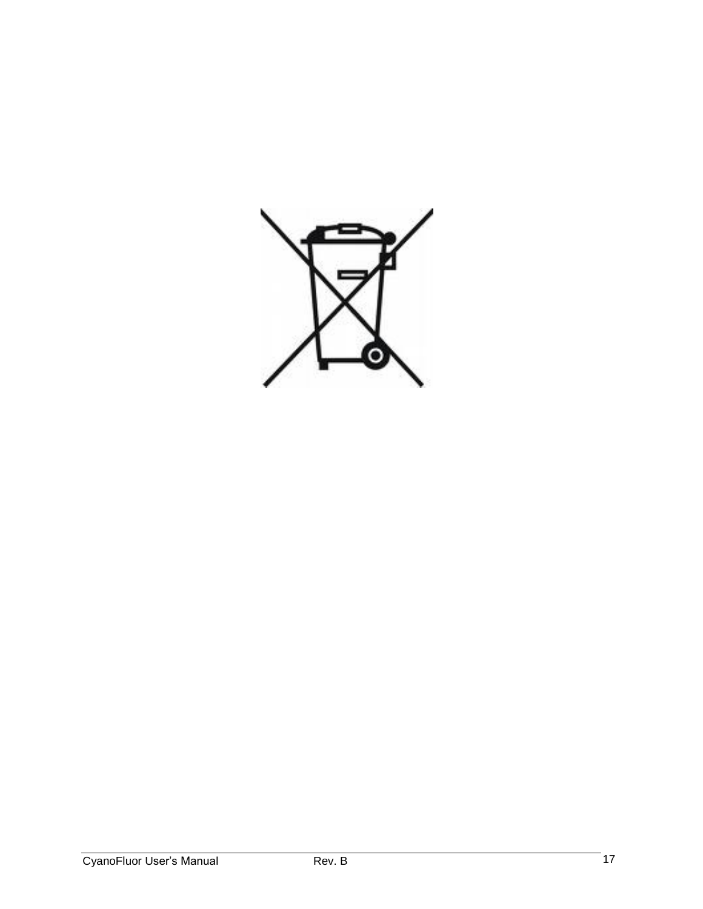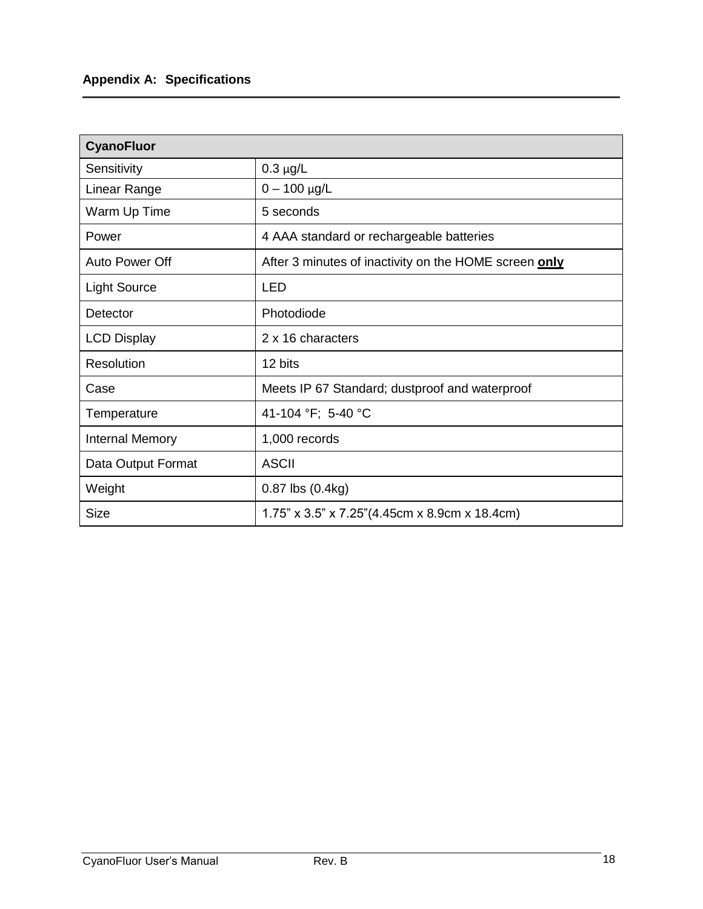| <b>CyanoFluor</b>      |                                                       |  |  |  |  |
|------------------------|-------------------------------------------------------|--|--|--|--|
| Sensitivity            | $0.3 \mu g/L$                                         |  |  |  |  |
| Linear Range           | $0 - 100 \mu g/L$                                     |  |  |  |  |
| Warm Up Time           | 5 seconds                                             |  |  |  |  |
| Power                  | 4 AAA standard or rechargeable batteries              |  |  |  |  |
| Auto Power Off         | After 3 minutes of inactivity on the HOME screen only |  |  |  |  |
| <b>Light Source</b>    | <b>LED</b>                                            |  |  |  |  |
| Detector               | Photodiode                                            |  |  |  |  |
| <b>LCD Display</b>     | 2 x 16 characters                                     |  |  |  |  |
| <b>Resolution</b>      | 12 bits                                               |  |  |  |  |
| Case                   | Meets IP 67 Standard; dustproof and waterproof        |  |  |  |  |
| Temperature            | 41-104 °F; 5-40 °C                                    |  |  |  |  |
| <b>Internal Memory</b> | 1,000 records                                         |  |  |  |  |
| Data Output Format     | <b>ASCII</b>                                          |  |  |  |  |
| Weight                 | $0.87$ lbs $(0.4kg)$                                  |  |  |  |  |
| <b>Size</b>            | $1.75$ " x 3.5" x 7.25"(4.45cm x 8.9cm x 18.4cm)      |  |  |  |  |